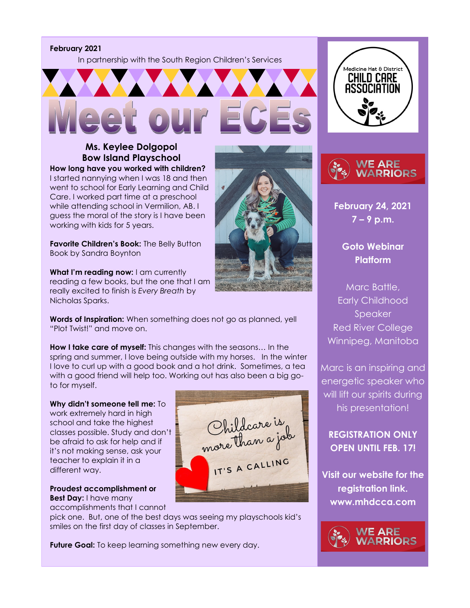**February 2021**

In partnership with the South Region Children's Services



# **Ms. Keylee Dolgopol Bow Island Playschool**

**How long have you worked with children?**  I started nannying when I was 18 and then went to school for Early Learning and Child Care. I worked part time at a preschool while attending school in Vermilion, AB. I guess the moral of the story is I have been working with kids for 5 years.

**Favorite Children's Book:** The Belly Button Book by Sandra Boynton

**What I'm reading now:** I am currently reading a few books, but the one that I am really excited to finish is *Every Breath* by Nicholas Sparks.

**Words of Inspiration:** When something does not go as planned, yell "Plot Twist!" and move on.

**How I take care of myself:** This changes with the seasons… In the spring and summer, I love being outside with my horses. In the winter I love to curl up with a good book and a hot drink. Sometimes, a tea with a good friend will help too. Working out has also been a big goto for myself.

**Why didn't someone tell me:** To work extremely hard in high school and take the highest classes possible. Study and don't be afraid to ask for help and if it's not making sense, ask your teacher to explain it in a different way.

**Proudest accomplishment or Best Day:** I have many

accomplishments that I cannot

pick one. But, one of the best days was seeing my playschools kid's smiles on the first day of classes in September.

**Future Goal:** To keep learning something new every day.







**February 24, 2021 7 – 9 p.m.** 

> **Goto Webinar Platform**

Marc Battle, Early Childhood Speaker Red River College Winnipeg, Manitoba

Marc is an inspiring and energetic speaker who will lift our spirits during his presentation!

**REGISTRATION ONLY OPEN UNTIL FEB. 17!** 

**Visit our website for the registration link. www.mhdcca.com**